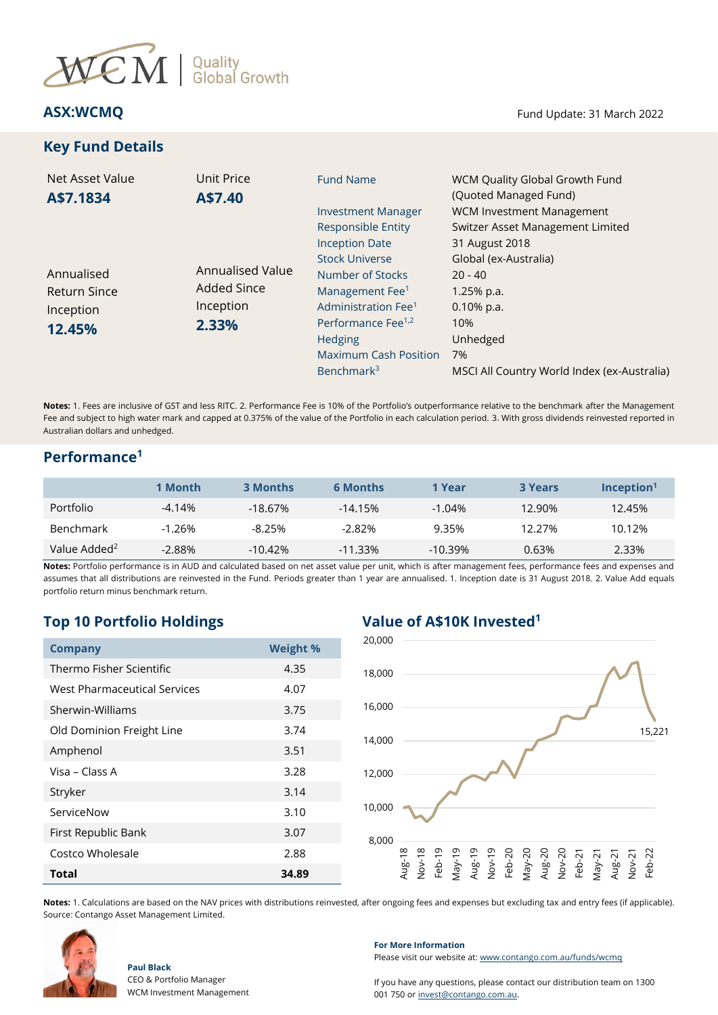

# **Key Fund Details**

| <b>Net Asset Value</b><br>A\$7.1834                      | Unit Price<br>A\$7.40                                        | <b>Fund Name</b>                                                                                                                                                                         | WCM Quality Global Growth Fund<br>(Quoted Managed Fund)                                      |
|----------------------------------------------------------|--------------------------------------------------------------|------------------------------------------------------------------------------------------------------------------------------------------------------------------------------------------|----------------------------------------------------------------------------------------------|
|                                                          |                                                              | <b>Investment Manager</b><br><b>Responsible Entity</b><br><b>Inception Date</b>                                                                                                          | <b>WCM Investment Management</b><br>Switzer Asset Management Limited<br>31 August 2018       |
| Annualised<br><b>Return Since</b><br>Inception<br>12.45% | Annualised Value<br><b>Added Since</b><br>Inception<br>2.33% | <b>Stock Universe</b><br>Number of Stocks<br>Management Fee <sup>1</sup><br>Administration Fee <sup>1</sup><br>Performance Fee <sup>1,2</sup><br>Hedging<br><b>Maximum Cash Position</b> | Global (ex-Australia)<br>$20 - 40$<br>$1.25%$ p.a.<br>$0.10\%$ p.a.<br>10%<br>Unhedged<br>7% |
|                                                          |                                                              | Benchmark <sup>3</sup>                                                                                                                                                                   | MSCI All Country World Index (ex-Australia)                                                  |

**Notes:** 1. Fees are inclusive of GST and less RITC. 2. Performance Fee is 10% of the Portfolio's outperformance relative to the benchmark after the Management Fee and subject to high water mark and capped at 0.375% of the value of the Portfolio in each calculation period. 3. With gross dividends reinvested reported in Australian dollars and unhedged.

## **Performance<sup>1</sup>**

|                          | 1 Month  | <b>3 Months</b> | <b>6 Months</b> | 1 Year    | <b>3 Years</b> | $Inc$ eption <sup>1</sup> |
|--------------------------|----------|-----------------|-----------------|-----------|----------------|---------------------------|
| Portfolio                | $-4.14%$ | $-18.67\%$      | $-14.15%$       | $-1.04\%$ | 12.90%         | 12.45%                    |
| <b>Benchmark</b>         | $-1.26%$ | -8.25%          | $-2.82\%$       | 9.35%     | 12.27%         | 10.12%                    |
| Value Added <sup>2</sup> | $-2.88%$ | $-10.42\%$      | $-11.33%$       | $-10.39%$ | 0.63%          | 2.33%                     |

**Notes:** Portfolio performance is in AUD and calculated based on net asset value per unit, which is after management fees, performance fees and expenses and assumes that all distributions are reinvested in the Fund. Periods greater than 1 year are annualised. 1. Inception date is 31 August 2018. 2. Value Add equals portfolio return minus benchmark return.

# **Top 10 Portfolio Holdings Value of A\$10K Invested<sup>1</sup>**

| <b>Company</b>               | <b>Weight %</b> |  |  |
|------------------------------|-----------------|--|--|
| Thermo Fisher Scientific     | 4.35            |  |  |
| West Pharmaceutical Services | 4.07            |  |  |
| Sherwin-Williams             | 3.75            |  |  |
| Old Dominion Freight Line    | 3.74            |  |  |
| Amphenol                     | 3.51            |  |  |
| Visa - Class A               | 3.28            |  |  |
| Stryker                      | 3.14            |  |  |
| ServiceNow                   | 3.10            |  |  |
| First Republic Bank          | 3.07            |  |  |
| Costco Wholesale             | 2.88            |  |  |
| <b>Total</b>                 | 34.89           |  |  |



**Notes:** 1. Calculations are based on the NAV prices with distributions reinvested, after ongoing fees and expenses but excluding tax and entry fees (if applicable). Source: Contango Asset Management Limited.



**Paul Black**

### **For More Information**

Please visit our website at[: www.contango.com.au/funds/wcmq](file://///192.168.5.184/archive/dc01-contango/Switzer%20Asset%20Management/WCM%20Quality%20Global%20Growth%20Fund%20(Quoted%20Managed%20Fund)/Reporting/Monthly%20NTA%20and%20Portfolio%20Report/2021/Redesign%20WCMQ%20NTA%20draft/www.contango.com.au/funds/wcmq)

If you have any questions, please contact our distribution team on 1300 001 750 or [invest@contango.com.au.](mailto:invest@contango.com.au)